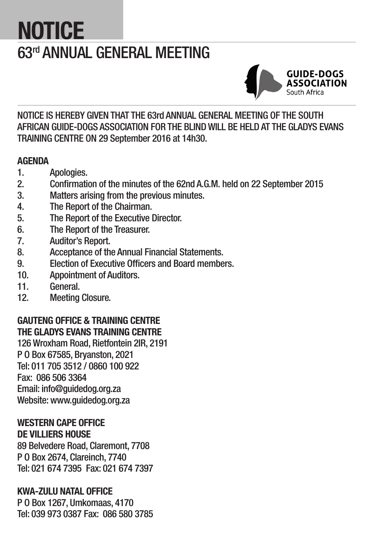# **NOTICE** 63rd ANNUAL GENERAL MEETING



NOTICE IS HEREBY GIVEN THAT THE 63rd ANNUAL GENERAL MEETING OF THE SOUTH AFRICAN GUIDE-DOGS ASSOCIATION FOR THE BLIND WILL BE HELD AT THE GLADYS EVANS TRAINING CENTRE ON 29 September 2016 at 14h30.

## AGENDA

- 1. Apologies.
- 2. Confirmation of the minutes of the 62nd A.G.M. held on 22 September 2015
- 3. Matters arising from the previous minutes.
- 4. The Report of the Chairman.
- 5. The Report of the Executive Director.
- 6. The Report of the Treasurer.
- 7. Auditor's Report.
- 8. Acceptance of the Annual Financial Statements.
- 9. Election of Executive Officers and Board members.
- 10. Appointment of Auditors.
- 11. General.
- 12. Meeting Closure.

## GAUTENG OFFICE & TRAINING CENTRE THE GLADYS EVANS TRAINING CENTRE

126 Wroxham Road, Rietfontein 2IR, 2191 P O Box 67585, Bryanston, 2021 Tel: 011 705 3512 / 0860 100 922 Fax: 086 506 3364 Email: info@guidedog.org.za Website: www.guidedog.org.za

## WESTERN CAPE OFFICE DE VILLIERS HOUSE

89 Belvedere Road, Claremont, 7708 P O Box 2674, Clareinch, 7740 Tel: 021 674 7395 Fax: 021 674 7397

## KWA-ZULU NATAL OFFICE

P O Box 1267, Umkomaas, 4170 Tel: 039 973 0387 Fax: 086 580 3785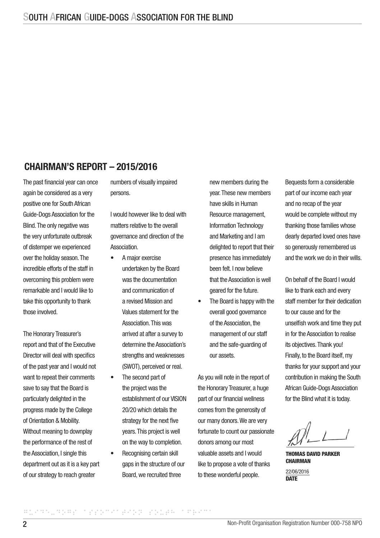## CHAIRMAN'S REPORT – 2015/2016

The past financial year can once again be considered as a very positive one for South African Guide-Dogs Association for the Blind. The only negative was the very unfortunate outbreak of distemper we experienced over the holiday season. The incredible efforts of the staff in overcoming this problem were remarkable and I would like to take this opportunity to thank those involved.

The Honorary Treasurer's report and that of the Executive Director will deal with specifics of the past year and I would not want to repeat their comments save to say that the Board is particularly delighted in the progress made by the College of Orientation & Mobility. Without meaning to downplay the performance of the rest of the Association, I single this department out as it is a key part of our strategy to reach greater

numbers of visually impaired persons.

I would however like to deal with matters relative to the overall governance and direction of the **Association** 

- A major exercise undertaken by the Board was the documentation and communication of a revised Mission and Values statement for the Association. This was arrived at after a survey to determine the Association's strengths and weaknesses (SWOT), perceived or real.
- The second part of the project was the establishment of our VISION 20/20 which details the strategy for the next five years. This project is well on the way to completion.
- Recognising certain skill gaps in the structure of our Board, we recruited three

new members during the year. These new members have skills in Human Resource management, Information Technology and Marketing and I am delighted to report that their presence has immediately been felt. I now believe that the Association is well geared for the future.

The Board is happy with the overall good governance of the Association, the management of our staff and the safe-guarding of our assets.

As you will note in the report of the Honorary Treasurer, a huge part of our financial wellness comes from the generosity of our many donors. We are very fortunate to count our passionate donors among our most valuable assets and I would like to propose a vote of thanks to these wonderful people.

Bequests form a considerable part of our income each year and no recap of the year would be complete without my thanking those families whose dearly departed loved ones have so generously remembered us and the work we do in their wills.

On behalf of the Board I would like to thank each and every staff member for their dedication to our cause and for the unselfish work and time they put in for the Association to realise its objectives. Thank you! Finally, to the Board itself, my thanks for your support and your contribution in making the South African Guide-Dogs Association for the Blind what it is today.

THOMAS DAVID PARKER CHAIRMAN 22/06/2016 **DATE**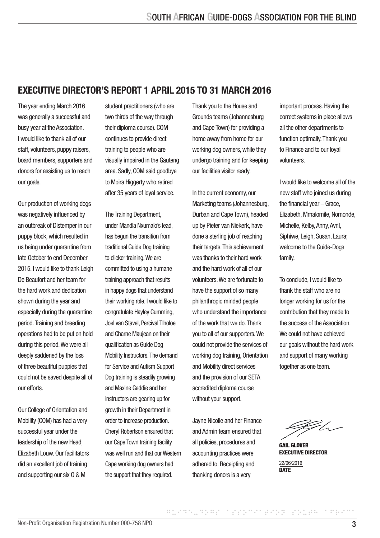## EXECUTIVE DIRECTOR'S REPORT 1 APRIL 2015 TO 31 MARCH 2016

The year ending March 2016 was generally a successful and busy year at the Association. I would like to thank all of our staff, volunteers, puppy raisers, board members, supporters and donors for assisting us to reach our goals.

Our production of working dogs was negatively influenced by an outbreak of Distemper in our puppy block, which resulted in us being under quarantine from late October to end December 2015. I would like to thank Leigh De Beaufort and her team for the hard work and dedication shown during the year and especially during the quarantine period. Training and breeding operations had to be put on hold during this period. We were all deeply saddened by the loss of three beautiful puppies that could not be saved despite all of our efforts.

Our College of Orientation and Mobility (COM) has had a very successful year under the leadership of the new Head, Elizabeth Louw. Our facilitators did an excellent job of training and supporting our six O & M

student practitioners (who are two thirds of the way through their diploma course). COM continues to provide direct training to people who are visually impaired in the Gauteng area. Sadly, COM said goodbye to Moira Higgerty who retired after 35 years of loyal service.

The Training Department, under Mandla Nxumalo's lead, has begun the transition from traditional Guide Dog training to clicker training. We are committed to using a humane training approach that results in happy dogs that understand their working role. I would like to congratulate Hayley Cumming, Joel van Stavel, Percival Tlholoe and Charne Maujean on their qualification as Guide Dog Mobility Instructors. The demand for Service and Autism Support Dog training is steadily growing and Maxine Geddie and her instructors are gearing up for growth in their Department in order to increase production. Cheryl Robertson ensured that our Cape Town training facility was well run and that our Western Cape working dog owners had the support that they required.

Thank you to the House and Grounds teams (Johannesburg and Cape Town) for providing a home away from home for our working dog owners, while they undergo training and for keeping our facilities visitor ready.

In the current economy, our Marketing teams (Johannesburg, Durban and Cape Town), headed up by Pieter van Niekerk, have done a sterling job of reaching their targets. This achievement was thanks to their hard work and the hard work of all of our volunteers. We are fortunate to have the support of so many philanthropic minded people who understand the importance of the work that we do. Thank you to all of our supporters. We could not provide the services of working dog training, Orientation and Mobility direct services and the provision of our SETA accredited diploma course without your support.

Jayne Nicolle and her Finance and Admin team ensured that all policies, procedures and accounting practices were adhered to. Receipting and thanking donors is a very

spredjedni rijedni prod india repr

important process. Having the correct systems in place allows all the other departments to function optimally. Thank you to Finance and to our loyal volunteers.

I would like to welcome all of the new staff who joined us during the financial year - Grace, Elizabeth, Mmalomile, Nomonde, Michelle, Kelby, Anny, Avril, Siphiwe, Leigh, Susan, Laura; welcome to the Guide-Dogs family.

To conclude, I would like to thank the staff who are no longer working for us for the contribution that they made to the success of the Association. We could not have achieved our goals without the hard work and support of many working together as one team.

CE/s -

GAIL GLOVER EXECUTIVE DIRECTOR 22/06/2016

**DATE**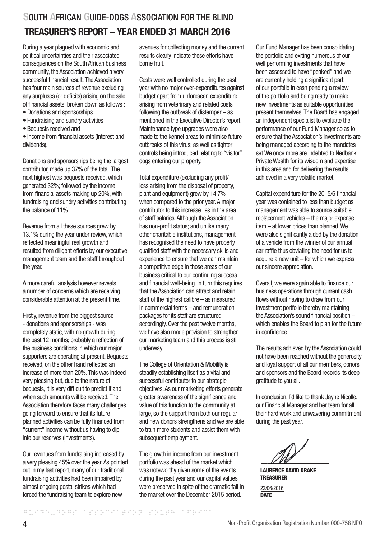## TREASURER'S REPORT – YEAR ENDED 31 MARCH 2016

During a year plagued with economic and political uncertainties and their associated consequences on the South African business community, the Association achieved a very successful financial result. The Association has four main sources of revenue excluding any surpluses (or deficits) arising on the sale of financial assets: broken down as follows :

- Donations and sponsorships
- Fundraising and sundry activities
- Bequests received and

• Income from financial assets (interest and dividends).

Donations and sponsorships being the largest contributor, made up 37% of the total. The next highest was bequests received, which generated 32%; followed by the income from financial assets making up 20%, with fundraising and sundry activities contributing the balance of 11%.

Revenue from all these sources grew by 13.1% during the year under review, which reflected meaningful real growth and resulted from diligent efforts by our executive management team and the staff throughout the year.

A more careful analysis however reveals a number of concerns which are receiving considerable attention at the present time.

Firstly, revenue from the biggest source - donations and sponsorships - was completely static, with no growth during the past 12 months; probably a reflection of the business conditions in which our major supporters are operating at present. Bequests received, on the other hand reflected an increase of more than 20%. This was indeed very pleasing but, due to the nature of bequests, it is very difficult to predict if and when such amounts will be received. The Association therefore faces many challenges going forward to ensure that its future planned activities can be fully financed from "current" income without us having to dip into our reserves (investments).

Our revenues from fundraising increased by a very pleasing 45% over the year. As pointed out in my last report, many of our traditional fundraising activities had been impaired by almost ongoing postal strikes which had forced the fundraising team to explore new

avenues for collecting money and the current results clearly indicate these efforts have borne fruit.

Costs were well controlled during the past year with no major over-expenditures against budget apart from unforeseen expenditure arising from veterinary and related costs following the outbreak of distemper – as mentioned in the Executive Director's report. Maintenance type upgrades were also made to the kennel areas to minimise future outbreaks of this virus; as well as tighter controls being introduced relating to "visitor" dogs entering our property.

Total expenditure (excluding any profit/ loss arising from the disposal of property, plant and equipment) grew by 14.7% when compared to the prior year. A major contributor to this increase lies in the area of staff salaries. Although the Association has non-profit status; and unlike many other charitable institutions, management has recognised the need to have properly qualified staff with the necessary skills and experience to ensure that we can maintain a competitive edge in those areas of our business critical to our continuing success and financial well-being. In turn this requires that the Association can attract and retain staff of the highest calibre – as measured in commercial terms – and remuneration packages for its staff are structured accordingly. Over the past twelve months, we have also made provision to strengthen our marketing team and this process is still underway.

The College of Orientation & Mobility is steadily establishing itself as a vital and successful contributor to our strategic objectives. As our marketing efforts generate greater awareness of the significance and value of this function to the community at large, so the support from both our regular and new donors strengthens and we are able to train more students and assist them with subsequent employment.

The growth in income from our investment portfolio was ahead of the market which was noteworthy given some of the events during the past year and our capital values were preserved in spite of the dramatic fall in the market over the December 2015 period.

Our Fund Manager has been consolidating the portfolio and exiting numerous of our well performing investments that have been assessed to have "peaked" and we are currently holding a significant part of our portfolio in cash pending a review of the portfolio and being ready to make new investments as suitable opportunities present themselves. The Board has engaged an independent specialist to evaluate the performance of our Fund Manager so as to ensure that the Association's investments are being managed according to the mandates set.We once more are indebted to Nedbank Private Wealth for its wisdom and expertise in this area and for delivering the results achieved in a very volatile market.

Capital expenditure for the 2015/6 financial year was contained to less than budget as management was able to source suitable replacement vehicles – the major expense item – at lower prices than planned. We were also significantly aided by the donation of a vehicle from the winner of our annual car raffle thus obviating the need for us to acquire a new unit – for which we express our sincere appreciation.

Overall, we were again able to finance our business operations through current cash flows without having to draw from our investment portfolio thereby maintaining the Association's sound financial position  $$ which enables the Board to plan for the future in confidence

The results achieved by the Association could not have been reached without the generosity and loyal support of all our members, donors and sponsors and the Board records its deep gratitude to you all.

In conclusion, I'd like to thank Jayne Nicolle, our Financial Manager and her team for all their hard work and unwavering commitment during the past year.

LAURENCE DAVID DRAKE TREASURER 22/06/2016 **DATE**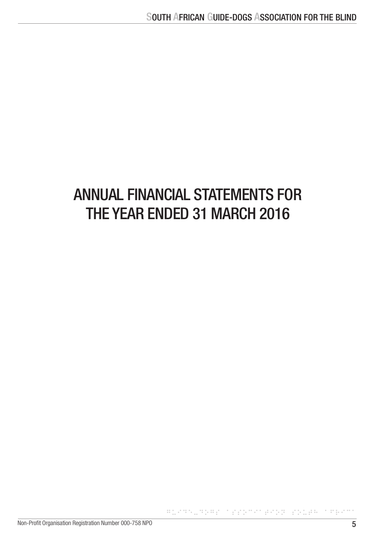# ANNUAL FINANCIAL STATEMENTS FOR THE YEAR ENDED 31 MARCH 2016

GUIDE-DOGS ASSOCIATION SOUTH AFRICA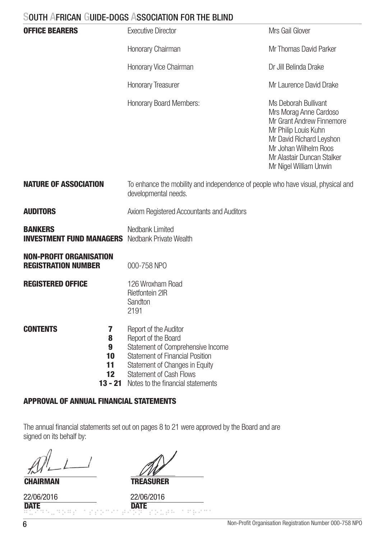| <b>OFFICE BEARERS</b>                                                    |                               | <b>Executive Director</b>                                                                                                                                                                                                                    | Mrs Gail Glover                                                                                                                                                                                                  |
|--------------------------------------------------------------------------|-------------------------------|----------------------------------------------------------------------------------------------------------------------------------------------------------------------------------------------------------------------------------------------|------------------------------------------------------------------------------------------------------------------------------------------------------------------------------------------------------------------|
|                                                                          |                               | Honorary Chairman                                                                                                                                                                                                                            | Mr Thomas David Parker                                                                                                                                                                                           |
|                                                                          |                               | Honorary Vice Chairman                                                                                                                                                                                                                       | Dr Jill Belinda Drake                                                                                                                                                                                            |
|                                                                          |                               | Honorary Treasurer                                                                                                                                                                                                                           | Mr Laurence David Drake                                                                                                                                                                                          |
|                                                                          |                               | Honorary Board Members:                                                                                                                                                                                                                      | Ms Deborah Bullivant<br>Mrs Morag Anne Cardoso<br>Mr Grant Andrew Finnemore<br>Mr Philip Louis Kuhn<br>Mr David Richard Leyshon<br>Mr Johan Wilhelm Roos<br>Mr Alastair Duncan Stalker<br>Mr Nigel William Unwin |
| <b>NATURE OF ASSOCIATION</b>                                             |                               | To enhance the mobility and independence of people who have visual, physical and<br>developmental needs.                                                                                                                                     |                                                                                                                                                                                                                  |
| <b>AUDITORS</b>                                                          |                               | Axiom Registered Accountants and Auditors                                                                                                                                                                                                    |                                                                                                                                                                                                                  |
| <b>BANKERS</b><br><b>INVESTMENT FUND MANAGERS</b> Nedbank Private Wealth |                               | Nedbank Limited                                                                                                                                                                                                                              |                                                                                                                                                                                                                  |
| <b>NON-PROFIT ORGANISATION</b><br><b>REGISTRATION NUMBER</b>             |                               | 000-758 NPO                                                                                                                                                                                                                                  |                                                                                                                                                                                                                  |
| <b>REGISTERED OFFICE</b>                                                 |                               | 126 Wroxham Road<br><b>Rietfontein 2IR</b><br>Sandton<br>2191                                                                                                                                                                                |                                                                                                                                                                                                                  |
| <b>CONTENTS</b>                                                          | 7<br>8<br>9<br>10<br>11<br>12 | Report of the Auditor<br>Report of the Board<br>Statement of Comprehensive Income<br><b>Statement of Financial Position</b><br>Statement of Changes in Equity<br><b>Statement of Cash Flows</b><br>13 - 21 Notes to the financial statements |                                                                                                                                                                                                                  |

#### APPROVAL OF ANNUAL FINANCIAL STATEMENTS

The annual financial statements set out on pages 8 to 21 were approved by the Board and are signed on its behalf by:

**CHAIRMAN** 

**DATE** 22/06/2016

**TREASURER** 

STORY TEEPTH BROOK COSE TREAT **DATE** 22/06/2016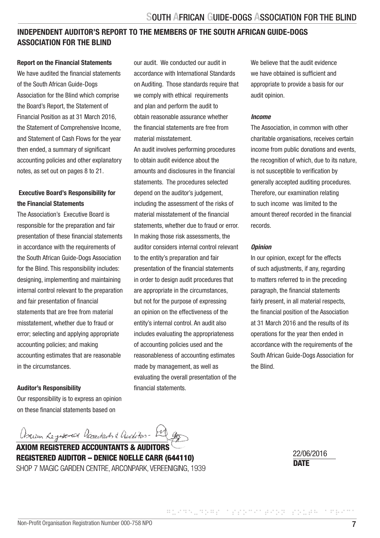#### INDEPENDENT AUDITOR'S REPORT TO THE MEMBERS OF THE SOUTH AFRICAN GUIDE-DOGS ASSOCIATION FOR THE BLIND

#### Report on the Financial Statements

We have audited the financial statements of the South African Guide-Dogs Association for the Blind which comprise the Board's Report, the Statement of Financial Position as at 31 March 2016, the Statement of Comprehensive Income, and Statement of Cash Flows for the year then ended, a summary of significant accounting policies and other explanatory notes, as set out on pages 8 to 21.

#### Executive Board's Responsibility for the Financial Statements

The Association's Executive Board is responsible for the preparation and fair presentation of these financial statements in accordance with the requirements of the South African Guide-Dogs Association for the Blind. This responsibility includes: designing, implementing and maintaining internal control relevant to the preparation and fair presentation of financial statements that are free from material misstatement, whether due to fraud or error; selecting and applying appropriate accounting policies; and making accounting estimates that are reasonable in the circumstances.

#### Auditor's Responsibility

Our responsibility is to express an opinion on these financial statements based on

our audit. We conducted our audit in accordance with International Standards on Auditing. Those standards require that we comply with ethical requirements and plan and perform the audit to obtain reasonable assurance whether the financial statements are free from material misstatement.

An audit involves performing procedures to obtain audit evidence about the amounts and disclosures in the financial statements. The procedures selected depend on the auditor's judgement, including the assessment of the risks of material misstatement of the financial statements, whether due to fraud or error. In making those risk assessments, the auditor considers internal control relevant to the entity's preparation and fair presentation of the financial statements in order to design audit procedures that are appropriate in the circumstances, but not for the purpose of expressing an opinion on the effectiveness of the entity's internal control. An audit also includes evaluating the appropriateness of accounting policies used and the reasonableness of accounting estimates made by management, as well as evaluating the overall presentation of the financial statements

We believe that the audit evidence we have obtained is sufficient and appropriate to provide a basis for our audit opinion.

#### *Income*

The Association, in common with other charitable organisations, receives certain income from public donations and events, the recognition of which, due to its nature, is not susceptible to verification by generally accepted auditing procedures. Therefore, our examination relating to such income was limited to the amount thereof recorded in the financial records.

#### *Opinion*

In our opinion, except for the effects of such adjustments, if any, regarding to matters referred to in the preceding paragraph, the financial statements fairly present, in all material respects. the financial position of the Association at 31 March 2016 and the results of its operations for the year then ended in accordance with the requirements of the South African Guide-Dogs Association for the Blind.

Oscien Regisered Dicarders & Auditors- Del

AXIOM REGISTERED ACCOUNTANTS & AUDITORS REGISTERED AUDITOR – DENICE NOELLE CARR (644110) SHOP 7 MAGIC GARDEN CENTRE, ARCONPARK, VEREENIGING, 1939 DATE

22/06/2016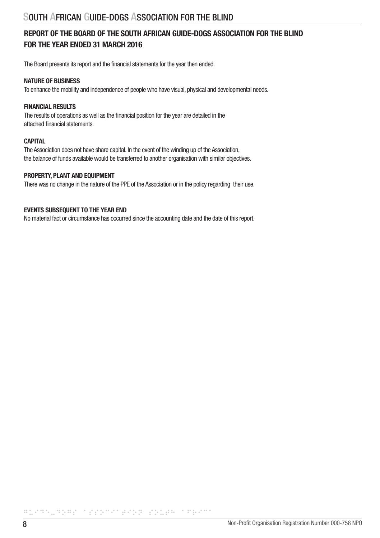### REPORT OF THE BOARD OF THE SOUTH AFRICAN GUIDE-DOGS ASSOCIATION FOR THE BLIND FOR THE YEAR ENDED 31 MARCH 2016

The Board presents its report and the financial statements for the year then ended.

#### NATURE OF BUSINESS

To enhance the mobility and independence of people who have visual, physical and developmental needs.

#### FINANCIAL RESULTS

The results of operations as well as the financial position for the year are detailed in the attached financial statements.

#### CAPITAL

The Association does not have share capital. In the event of the winding up of the Association, the balance of funds available would be transferred to another organisation with similar objectives.

#### PROPERTY, PLANT AND EQUIPMENT

There was no change in the nature of the PPE of the Association or in the policy regarding their use.

#### EVENTS SUBSEQUENT TO THE YEAR END

No material fact or circumstance has occurred since the accounting date and the date of this report.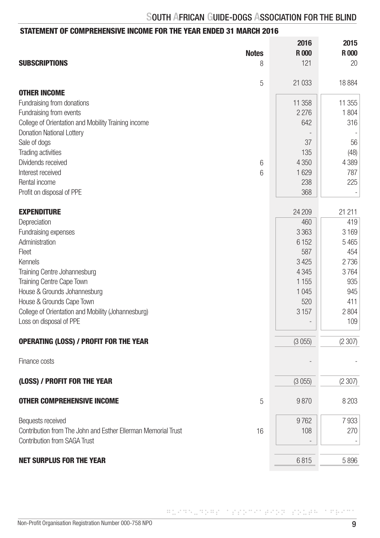## STATEMENT OF COMPREHENSIVE INCOME FOR THE YEAR ENDED 31 MARCH 2016

| <b>Notes</b>                                                                                        | 2016<br><b>R000</b> | 2015<br><b>R000</b> |
|-----------------------------------------------------------------------------------------------------|---------------------|---------------------|
| <b>SUBSCRIPTIONS</b><br>8                                                                           | 121                 | 20                  |
| 5                                                                                                   | 21 0 33             | 18884               |
| <b>OTHER INCOME</b>                                                                                 | 11 358              | 11 355              |
| Fundraising from donations<br>Fundraising from events                                               | 2 2 7 6             | 1804                |
| College of Orientation and Mobility Training income                                                 | 642                 | 316                 |
| <b>Donation National Lottery</b>                                                                    |                     |                     |
| Sale of dogs                                                                                        | 37                  | 56                  |
| Trading activities                                                                                  | 135                 | (48)                |
| Dividends received<br>6                                                                             | 4 3 5 0             | 4 3 8 9             |
| Interest received<br>6                                                                              | 1 6 2 9             | 787                 |
| Rental income                                                                                       | 238                 | 225                 |
| Profit on disposal of PPE                                                                           | 368                 |                     |
| <b>EXPENDITURE</b>                                                                                  | 24 209              | 21 211              |
| Depreciation                                                                                        | 460                 | 419                 |
| Fundraising expenses                                                                                | 3 3 6 3             | 3169                |
| Administration                                                                                      | 6 1 5 2             | 5465                |
| Fleet                                                                                               | 587                 | 454                 |
| Kennels                                                                                             | 3 4 2 5<br>4 3 4 5  | 2736<br>3764        |
| Training Centre Johannesburg<br>Training Centre Cape Town                                           | 1 1 5 5             | 935                 |
| House & Grounds Johannesburg                                                                        | 1 0 4 5             | 945                 |
| House & Grounds Cape Town                                                                           | 520                 | 411                 |
| College of Orientation and Mobility (Johannesburg)                                                  | 3 1 5 7             | 2 8 0 4             |
| Loss on disposal of PPE                                                                             |                     | 109                 |
| <b>OPERATING (LOSS) / PROFIT FOR THE YEAR</b>                                                       | (3055)              | (2307)              |
|                                                                                                     |                     |                     |
| Finance costs                                                                                       |                     |                     |
| (LOSS) / PROFIT FOR THE YEAR                                                                        | (3055)              | (2307)              |
| <b>OTHER COMPREHENSIVE INCOME</b><br>5                                                              | 9870                | 8 2 0 3             |
| Bequests received                                                                                   | 9762                | 7933                |
| Contribution from The John and Esther Ellerman Memorial Trust<br>16<br>Contribution from SAGA Trust | 108                 | 270                 |
| <b>NET SURPLUS FOR THE YEAR</b>                                                                     | 6815                | 5896                |
|                                                                                                     |                     |                     |

GUIDE-DOGS ASSOCIATION SOUTH AFRICAN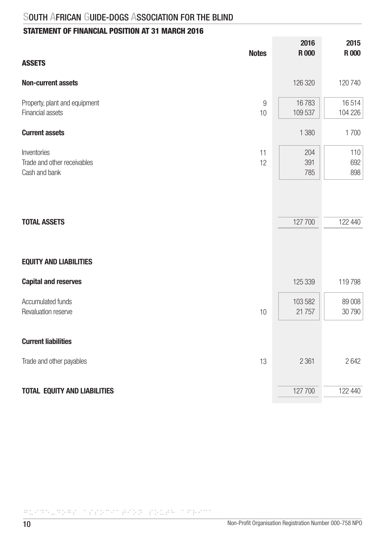## STATEMENT OF FINANCIAL POSITION AT 31 MARCH 2016

| <b>Notes</b>                                                            | 2016<br><b>R000</b> | 2015<br><b>R000</b> |
|-------------------------------------------------------------------------|---------------------|---------------------|
| <b>ASSETS</b>                                                           |                     |                     |
| <b>Non-current assets</b>                                               | 126 320             | 120 740             |
| Property, plant and equipment<br>9<br>Financial assets<br>10            | 16783<br>109 537    | 16514<br>104 226    |
| <b>Current assets</b>                                                   | 1 3 8 0             | 1700                |
| Inventories<br>11<br>Trade and other receivables<br>12<br>Cash and bank | 204<br>391<br>785   | 110<br>692<br>898   |
| <b>TOTAL ASSETS</b>                                                     | 127 700             | 122 440             |
| <b>EQUITY AND LIABILITIES</b>                                           |                     |                     |
| <b>Capital and reserves</b>                                             | 125 339             | 119798              |
| Accumulated funds<br>Revaluation reserve<br>10                          | 103 582<br>21 757   | 89 008<br>30 790    |
| <b>Current liabilities</b>                                              |                     |                     |
| Trade and other payables<br>13                                          | 2 3 6 1             | 2642                |
| <b>TOTAL EQUITY AND LIABILITIES</b>                                     | 127 700             | 122 440             |

GUIDE-DOGS ASSOCIATION SOUTH AFRICA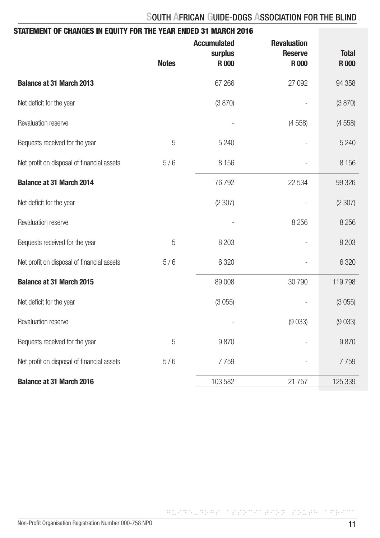| STATEMENT OF CHANGES IN EQUITY FOR THE YEAR ENDED 31 MARCH 2016 |              |                                              |                                                     |                             |  |  |
|-----------------------------------------------------------------|--------------|----------------------------------------------|-----------------------------------------------------|-----------------------------|--|--|
|                                                                 | <b>Notes</b> | <b>Accumulated</b><br>surplus<br><b>R000</b> | <b>Revaluation</b><br><b>Reserve</b><br><b>R000</b> | <b>Total</b><br><b>R000</b> |  |  |
| Balance at 31 March 2013                                        |              | 67 266                                       | 27 092                                              | 94 358                      |  |  |
| Net deficit for the year                                        |              | (3870)                                       |                                                     | (3870)                      |  |  |
| Revaluation reserve                                             |              |                                              | (4558)                                              | (4558)                      |  |  |
| Bequests received for the year                                  | 5            | 5 2 4 0                                      |                                                     | 5 2 4 0                     |  |  |
| Net profit on disposal of financial assets                      | 5/6          | 8 1 5 6                                      |                                                     | 8 1 5 6                     |  |  |
| <b>Balance at 31 March 2014</b>                                 |              | 76792                                        | 22 5 34                                             | 99 326                      |  |  |
| Net deficit for the year                                        |              | (2307)                                       |                                                     | (2307)                      |  |  |
| Revaluation reserve                                             |              |                                              | 8 2 5 6                                             | 8 2 5 6                     |  |  |
| Bequests received for the year                                  | 5            | 8 2 0 3                                      |                                                     | 8 2 0 3                     |  |  |
| Net profit on disposal of financial assets                      | 5/6          | 6 3 2 0                                      |                                                     | 6 3 2 0                     |  |  |
| Balance at 31 March 2015                                        |              | 89 008                                       | 30 790                                              | 119798                      |  |  |
| Net deficit for the year                                        |              | (3055)                                       |                                                     | (3055)                      |  |  |
| Revaluation reserve                                             |              |                                              | (9033)                                              | (9033)                      |  |  |
| Bequests received for the year                                  | 5            | 9870                                         |                                                     | 9870                        |  |  |
| Net profit on disposal of financial assets                      | 5/6          | 7759                                         |                                                     | 7759                        |  |  |
| Balance at 31 March 2016                                        |              | 103 582                                      | 21 757                                              | 125 339                     |  |  |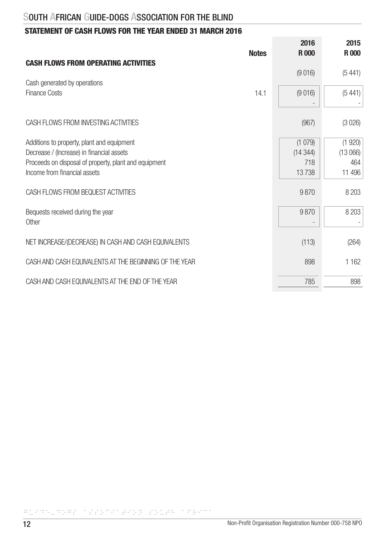### STATEMENT OF CASH FLOWS FOR THE YEAR ENDED 31 MARCH 2016

| <b>Notes</b><br><b>CASH FLOWS FROM OPERATING ACTIVITIES</b> | 2016<br><b>R000</b> | 2015<br><b>R000</b> |
|-------------------------------------------------------------|---------------------|---------------------|
|                                                             | (9 016)             | (5441)              |
| Cash generated by operations<br>Finance Costs<br>14.1       | (9 016)             | (5441)              |
| CASH FLOWS FROM INVESTING ACTIVITIES                        | (967)               | (3026)              |
| Additions to property, plant and equipment                  | (1079)              | (1920)              |
| Decrease / (Increase) in financial assets                   | (14344)             | (13066)             |
| Proceeds on disposal of property, plant and equipment       | 718                 | 464                 |
| Income from financial assets                                | 13738               | 11 496              |
| CASH FLOWS FROM BEQUEST ACTIVITIES                          | 9870                | 8 2 0 3             |
| Bequests received during the year                           | 9870                | 8 2 0 3             |
| Other                                                       |                     |                     |
| NET INCREASE/(DECREASE) IN CASH AND CASH EQUIVALENTS        | (113)               | (264)               |
| CASH AND CASH EQUIVALENTS AT THE BEGINNING OF THE YEAR      | 898                 | 1 1 6 2             |
| CASH AND CASH EQUIVALENTS AT THE END OF THE YEAR            | 785                 | 898                 |
|                                                             |                     |                     |

GUIDE-DOGS ASSOCIATION SOUTH AFRICATION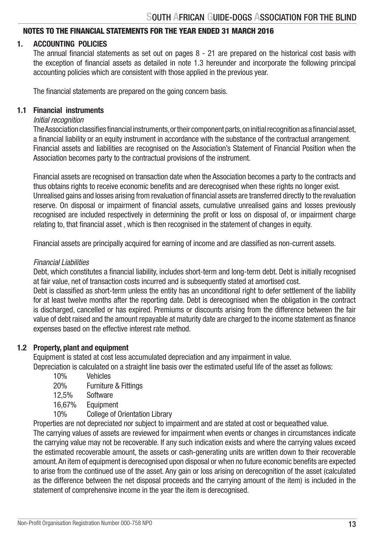#### NOTES TO THE FINANCIAL STATEMENTS FOR THE YEAR ENDED 31 MARCH 2016

#### 1. ACCOUNTING POLICIES

 The annual financial statements as set out on pages 8 - 21 are prepared on the historical cost basis with the exception of financial assets as detailed in note 1.3 hereunder and incorporate the following principal accounting policies which are consistent with those applied in the previous year.

The financial statements are prepared on the going concern basis.

#### 1.1 Financial instruments

#### *Initial recognition*

 The Association classifies financial instruments, or their component parts, on initial recognition as a financial asset, a financial liability or an equity instrument in accordance with the substance of the contractual arrangement. Financial assets and liabilities are recognised on the Association's Statement of Financial Position when the Association becomes party to the contractual provisions of the instrument.

 Financial assets are recognised on transaction date when the Association becomes a party to the contracts and thus obtains rights to receive economic benefits and are derecognised when these rights no longer exist. Unrealised gains and losses arising from revaluation of financial assets are transferred directly to the revaluation reserve. On disposal or impairment of financial assets, cumulative unrealised gains and losses previously recognised are included respectively in determining the profit or loss on disposal of, or impairment charge relating to, that financial asset , which is then recognised in the statement of changes in equity.

Financial assets are principally acquired for earning of income and are classified as non-current assets.

#### *Financial Liabilities*

 Debt, which constitutes a financial liability, includes short-term and long-term debt. Debt is initially recognised at fair value, net of transaction costs incurred and is subsequently stated at amortised cost.

 Debt is classified as short-term unless the entity has an unconditional right to defer settlement of the liability for at least twelve months after the reporting date. Debt is derecognised when the obligation in the contract is discharged, cancelled or has expired. Premiums or discounts arising from the difference between the fair value of debt raised and the amount repayable at maturity date are charged to the income statement as finance expenses based on the effective interest rate method.

#### 1.2 Property, plant and equipment

Equipment is stated at cost less accumulated depreciation and any impairment in value.

Depreciation is calculated on a straight line basis over the estimated useful life of the asset as follows:

10% Vehicles

20% Furniture & Fittings

12,5% Software

16,67% Equipment

10% College of Orientation Library

Properties are not depreciated nor subject to impairment and are stated at cost or bequeathed value.

 The carrying values of assets are reviewed for impairment when events or changes in circumstances indicate the carrying value may not be recoverable. If any such indication exists and where the carrying values exceed the estimated recoverable amount, the assets or cash-generating units are written down to their recoverable amount. An item of equipment is derecognised upon disposal or when no future economic benefits are expected to arise from the continued use of the asset. Any gain or loss arising on derecognition of the asset (calculated as the difference between the net disposal proceeds and the carrying amount of the item) is included in the statement of comprehensive income in the year the item is derecognised.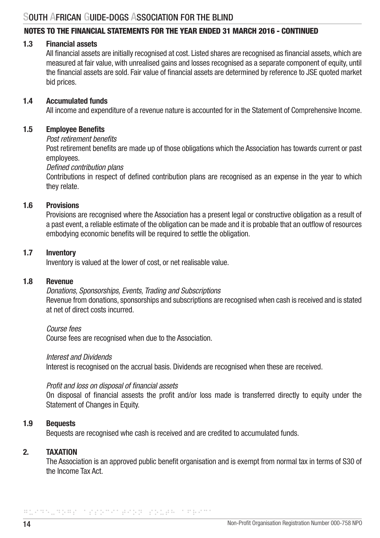#### NOTES TO THE FINANCIAL STATEMENTS FOR THE YEAR ENDED 31 MARCH 2016 - CONTINUED

#### 1.3 Financial assets

 All financial assets are initially recognised at cost. Listed shares are recognised as financial assets, which are measured at fair value, with unrealised gains and losses recognised as a separate component of equity, until the financial assets are sold. Fair value of financial assets are determined by reference to JSE quoted market bid prices.

#### 1.4 Accumulated funds

All income and expenditure of a revenue nature is accounted for in the Statement of Comprehensive Income.

#### 1.5 Employee Benefits

#### *Post retirement benefits*

 Post retirement benefits are made up of those obligations which the Association has towards current or past employees.

#### *Defined contribution plans*

 Contributions in respect of defined contribution plans are recognised as an expense in the year to which they relate.

#### 1.6 Provisions

 Provisions are recognised where the Association has a present legal or constructive obligation as a result of a past event, a reliable estimate of the obligation can be made and it is probable that an outflow of resources embodying economic benefits will be required to settle the obligation.

#### 1.7 Inventory

Inventory is valued at the lower of cost, or net realisable value.

#### 1.8 Revenue

 *Donations, Sponsorships, Events, Trading and Subscriptions* Revenue from donations, sponsorships and subscriptions are recognised when cash is received and is stated at net of direct costs incurred.

#### *Course fees*

Course fees are recognised when due to the Association.

#### *Interest and Dividends*

Interest is recognised on the accrual basis. Dividends are recognised when these are received.

#### *Profit and loss on disposal of financial assets*

 On disposal of financial assests the profit and/or loss made is transferred directly to equity under the Statement of Changes in Equity.

#### 1.9 Bequests

Bequests are recognised whe cash is received and are credited to accumulated funds.

#### 2. TAXATION

 The Association is an approved public benefit organisation and is exempt from normal tax in terms of S30 of the Income Tax Act.

GUIDE-DOGS ASSOCIATION SOUTH AFRICA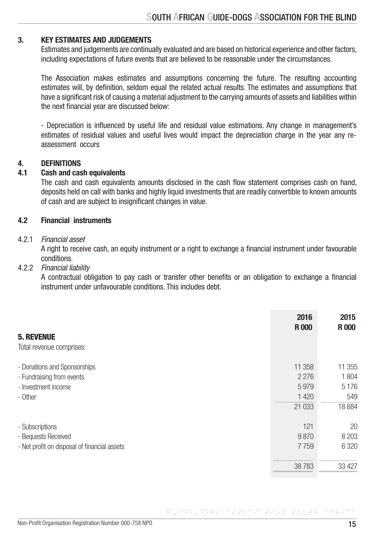#### 3. KEY ESTIMATES AND JUDGEMENTS

 Estimates and judgements are continually evaluated and are based on historical experience and other factors, including expectations of future events that are believed to be reasonable under the circumstances.

 The Association makes estimates and assumptions concerning the future. The resulting accounting estimates will, by definition, seldom equal the related actual results. The estimates and assumptions that have a significant risk of causing a material adjustment to the carrying amounts of assets and liabilities within the next financial year are discussed below:

 - Depreciation is influenced by useful life and residual value estimations. Any change in management's estimates of residual values and useful lives would impact the depreciation charge in the year any reassessment occurs

# 4. **DEFINITIONS**<br>4.1 Cash and cas

#### **Cash and cash equivalents**

 The cash and cash equivalents amounts disclosed in the cash flow statement comprises cash on hand, deposits held on call with banks and highly liquid investments that are readily convertible to known amounts of cash and are subject to insignificant changes in value.

#### 4.2 Financial instruments

#### 4.2.1 *Financial asset*

 A right to receive cash, an equity instrument or a right to exchange a financial instrument under favourable conditions.

#### 4.2.2 *Financial liability*

 A contractual obligation to pay cash or transfer other benefits or an obligation to exchange a financial instrument under unfavourable conditions. This includes debt.

|                                              | 2016<br><b>R000</b> | 2015<br><b>R000</b> |
|----------------------------------------------|---------------------|---------------------|
| <b>5. REVENUE</b>                            |                     |                     |
| Total revenue comprises:                     |                     |                     |
| - Donations and Sponsorships                 | 11 358              | 11 355              |
| - Fundraising from events                    | 2 2 7 6             | 1804                |
| - Investment income                          | 5979                | 5176                |
| - Other                                      | 1 4 2 0             | 549                 |
|                                              | 21 0 33             | 18884               |
| - Subscriptions                              | 121                 | 20                  |
| - Bequests Received                          | 9870                | 8 2 0 3             |
| - Net profit on disposal of financial assets | 7759                | 6 3 2 0             |
|                                              | 38783               | 33 4 27             |

<u> Tanzania (h. 1878).</u>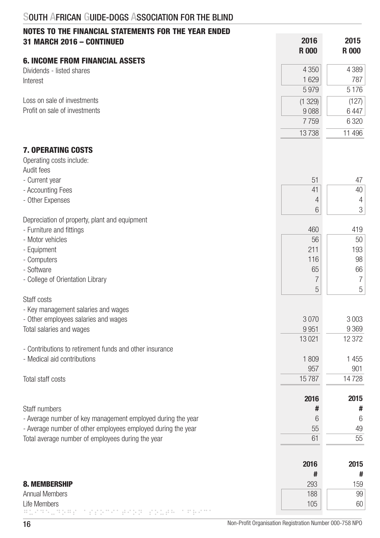| NOTES TO THE FINANCIAL STATEMENTS FOR THE YEAR ENDED                                                                        |                     |                   |
|-----------------------------------------------------------------------------------------------------------------------------|---------------------|-------------------|
| 31 MARCH 2016 - CONTINUED                                                                                                   | 2016<br><b>R000</b> | 2015<br>R 000     |
| <b>6. INCOME FROM FINANCIAL ASSETS</b>                                                                                      |                     |                   |
| Dividends - listed shares                                                                                                   | 4 3 5 0             | 4 3 8 9           |
| Interest                                                                                                                    | 1 6 2 9             | 787               |
|                                                                                                                             | 5979                | 5176              |
| Loss on sale of investments                                                                                                 | (1 329)             | (127)             |
| Profit on sale of investments                                                                                               | 9088<br>7759        | 6447              |
|                                                                                                                             |                     | 6 3 2 0<br>11 496 |
|                                                                                                                             | 13738               |                   |
| <b>7. OPERATING COSTS</b>                                                                                                   |                     |                   |
| Operating costs include:                                                                                                    |                     |                   |
| Audit fees                                                                                                                  |                     |                   |
| - Current year<br>- Accounting Fees                                                                                         | 51<br>41            | 47<br>40          |
| - Other Expenses                                                                                                            | 4                   | 4                 |
|                                                                                                                             | 6                   | 3                 |
| Depreciation of property, plant and equipment                                                                               |                     |                   |
| - Furniture and fittings                                                                                                    | 460                 | 419               |
| - Motor vehicles                                                                                                            | 56                  | 50                |
| - Equipment                                                                                                                 | 211                 | 193               |
| - Computers<br>- Software                                                                                                   | 116<br>65           | 98<br>66          |
| - College of Orientation Library                                                                                            | 7                   | 7                 |
|                                                                                                                             | 5                   | 5                 |
| Staff costs                                                                                                                 |                     |                   |
| - Key management salaries and wages                                                                                         |                     |                   |
| - Other employees salaries and wages                                                                                        | 3070                | 3003              |
| Total salaries and wages                                                                                                    | 9951                | 9 3 6 9           |
| - Contributions to retirement funds and other insurance                                                                     | 13021               | 12 3 72           |
| - Medical aid contributions                                                                                                 | 1809                | 1455              |
|                                                                                                                             | 957                 | 901               |
| Total staff costs                                                                                                           | 15787               | 14728             |
|                                                                                                                             |                     |                   |
|                                                                                                                             | 2016                | 2015              |
| Staff numbers                                                                                                               | #                   | #                 |
| - Average number of key management employed during the year<br>- Average number of other employees employed during the year | 6<br>55             | 6<br>49           |
| Total average number of employees during the year                                                                           | 61                  | 55                |
|                                                                                                                             |                     |                   |
|                                                                                                                             | 2016                | 2015              |
|                                                                                                                             | #                   | #                 |
| <b>8. MEMBERSHIP</b>                                                                                                        | 293                 | 159               |
| <b>Annual Members</b>                                                                                                       | 188                 | 99                |
| Life Members                                                                                                                | 105                 | 60                |
| strategie in der Strategie erheben                                                                                          |                     |                   |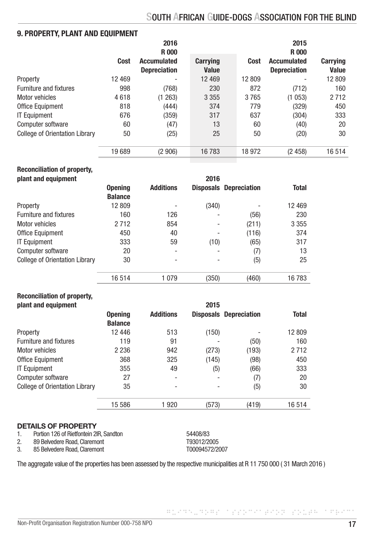#### 9. PROPERTY, PLANT AND EQUIPMENT

|                                       |         | 2016<br><b>R000</b>                |                          |        | 2015<br><b>R000</b>                       |                          |
|---------------------------------------|---------|------------------------------------|--------------------------|--------|-------------------------------------------|--------------------------|
|                                       | Cost    | Accumulated<br><b>Depreciation</b> | <b>Carrying</b><br>Value | Cost   | <b>Accumulated</b><br><b>Depreciation</b> | Carrying<br><b>Value</b> |
| Property                              | 12 4 69 |                                    | 12 4 69                  | 12809  |                                           | 12 809                   |
| Furniture and fixtures                | 998     | (768)                              | 230                      | 872    | (712)                                     | 160                      |
| Motor vehicles                        | 4618    | (1263)                             | 3 3 5 5                  | 3765   | (1053)                                    | 2712                     |
| Office Equipment                      | 818     | (444)                              | 374                      | 779    | (329)                                     | 450                      |
| <b>IT Equipment</b>                   | 676     | (359)                              | 317                      | 637    | (304)                                     | 333                      |
| Computer software                     | 60      | (47)                               | 13                       | 60     | (40)                                      | 20                       |
| <b>College of Orientation Library</b> | 50      | (25)                               | 25                       | 50     | (20)                                      | 30                       |
|                                       | 19689   | (2906)                             | 16783                    | 18 972 | (2458)                                    | 16 514                   |

## Reconciliation of property,

| plant and equipment                   |                |                  | 2016  |                               |         |
|---------------------------------------|----------------|------------------|-------|-------------------------------|---------|
|                                       | <b>Opening</b> | <b>Additions</b> |       | <b>Disposals Depreciation</b> | Total   |
|                                       | <b>Balance</b> |                  |       |                               |         |
| Property                              | 12 809         |                  | (340) |                               | 12 469  |
| Furniture and fixtures                | 160            | 126              | -     | (56)                          | 230     |
| Motor vehicles                        | 2712           | 854              | ۰     | (211)                         | 3 3 5 5 |
| <b>Office Equipment</b>               | 450            | 40               |       | (116)                         | 374     |
| <b>IT Equipment</b>                   | 333            | 59               | (10)  | (65)                          | 317     |
| Computer software                     | 20             | ٠                | -     | (7)                           | 13      |
| <b>College of Orientation Library</b> | 30             |                  |       | (5)                           | 25      |
|                                       | 16 514         | 1079             | (350) | (460)                         | 16 783  |
|                                       |                |                  |       |                               |         |

# Reconciliation of property,<br>nlant and equipment

| plant and equipment                   |                |                          | 2015  |                               |              |
|---------------------------------------|----------------|--------------------------|-------|-------------------------------|--------------|
|                                       | <b>Opening</b> | <b>Additions</b>         |       | <b>Disposals Depreciation</b> | <b>Total</b> |
|                                       | <b>Balance</b> |                          |       |                               |              |
| Property                              | 12 446         | 513                      | (150) |                               | 12 809       |
| Furniture and fixtures                | 119            | 91                       |       | (50)                          | 160          |
| Motor vehicles                        | 2 2 3 6        | 942                      | (273) | (193)                         | 2712         |
| <b>Office Equipment</b>               | 368            | 325                      | (145) | (98)                          | 450          |
| <b>IT Equipment</b>                   | 355            | 49                       | (5)   | (66)                          | 333          |
| Computer software                     | 27             | $\overline{\phantom{a}}$ | -     | (7)                           | 20           |
| <b>College of Orientation Library</b> | 35             |                          |       | (5)                           | 30           |
|                                       | 15 586         | 1920                     | (573) | (419)                         | 16 514       |

# **DETAILS OF PROPERTY**<br>1. Portion 126 of Rietfontein 21

1. Portion 126 of Rietfontein 2IR, Sandton 54408/83<br>2. 89 Belvedere Road. Claremont

2. 89 Belvedere Road, Claremont Christian Communication of the State of T93012/2005<br>3. 85 Belvedere Road, Claremont Christian Christian Christian T00094572/2007

85 Belvedere Road, Claremont

GUIDE-DOGS ASSOCIATION SOUTH AFRICAN

The aggregate value of the properties has been assessed by the respective municipalities at R 11 750 000 ( 31 March 2016 )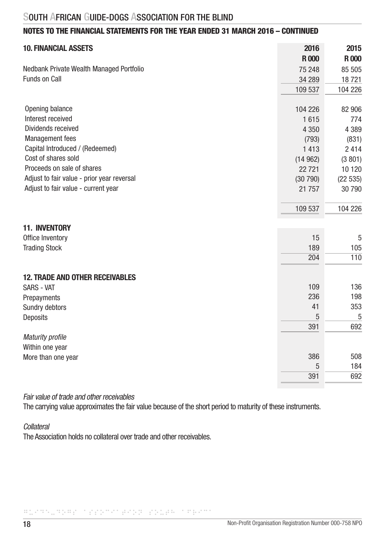#### NOTES TO THE FINANCIAL STATEMENTS FOR THE YEAR ENDED 31 MARCH 2016 – CONTINUED

| <b>10. FINANCIAL ASSETS</b>                | 2016        | 2015        |
|--------------------------------------------|-------------|-------------|
|                                            | <b>R000</b> | <b>R000</b> |
| Nedbank Private Wealth Managed Portfolio   | 75 248      | 85 505      |
| Funds on Call                              | 34 289      | 18721       |
|                                            | 109 537     | 104 226     |
|                                            |             |             |
| Opening balance                            | 104 226     | 82 906      |
| Interest received                          | 1615        | 774         |
| Dividends received                         | 4 3 5 0     | 4 3 8 9     |
| <b>Management</b> fees                     | (793)       | (831)       |
| Capital Introduced / (Redeemed)            | 1413        | 2414        |
| Cost of shares sold                        | (14962)     | (3801)      |
| Proceeds on sale of shares                 | 22 7 21     | 10 120      |
| Adjust to fair value - prior year reversal | (30790)     | (22535)     |
| Adjust to fair value - current year        | 21 757      | 30 790      |
|                                            |             |             |
|                                            | 109 537     | 104 226     |
| <b>11. INVENTORY</b>                       |             |             |
| Office Inventory                           | 15          | 5           |
| <b>Trading Stock</b>                       | 189         | 105         |
|                                            | 204         | 110         |
|                                            |             |             |
| <b>12. TRADE AND OTHER RECEIVABLES</b>     |             |             |
| <b>SARS - VAT</b>                          | 109         | 136         |
| Prepayments                                | 236         | 198         |
| Sundry debtors                             | 41          | 353         |
| Deposits                                   | 5           | 5           |
|                                            | 391         | 692         |
| <b>Maturity profile</b>                    |             |             |
| Within one year                            |             |             |
| More than one year                         | 386         | 508         |
|                                            | 5           | 184         |
|                                            | 391         | 692         |
|                                            |             |             |

Fair value of trade and other receivables

The carrying value approximates the fair value because of the short period to maturity of these instruments.

Collateral

The Association holds no collateral over trade and other receivables.

GUIDE-DOGS ASSOCIATION SOUTH AFRICATION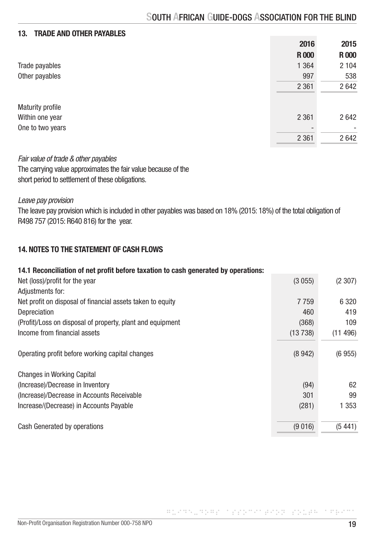#### 13. TRADE AND OTHER PAYABLES

|                         | 2016        | 2015        |
|-------------------------|-------------|-------------|
|                         | <b>R000</b> | <b>R000</b> |
| Trade payables          | 1 3 6 4     | 2 1 0 4     |
| Other payables          | 997         | 538         |
|                         | 2 3 6 1     | 2642        |
|                         |             |             |
| <b>Maturity profile</b> |             |             |
| Within one year         | 2 3 6 1     | 2642        |
| One to two years        |             |             |
|                         | 2 3 6 1     | 2642        |
|                         |             |             |

*Fair value of trade & other payables*

The carrying value approximates the fair value because of the short period to settlement of these obligations.

*Leave pay provision*

The leave pay provision which is included in other payables was based on 18% (2015: 18%) of the total obligation of R498 757 (2015: R640 816) for the year.

#### 14. NOTES TO THE STATEMENT OF CASH FLOWS

#### 14.1 Reconciliation of net profit before taxation to cash generated by operations:

| Net (loss)/profit for the year                             | (3055)  | (2307)  |
|------------------------------------------------------------|---------|---------|
| Adiustments for:                                           |         |         |
| Net profit on disposal of financial assets taken to equity | 7759    | 6 3 2 0 |
| Depreciation                                               | 460     | 419     |
| (Profit)/Loss on disposal of property, plant and equipment | (368)   | 109     |
| Income from financial assets                               | (13738) | (11496) |
| Operating profit before working capital changes            | (8942)  | (6955)  |
| <b>Changes in Working Capital</b>                          |         |         |
| (Increase)/Decrease in Inventory                           | (94)    | 62      |
| (Increase)/Decrease in Accounts Receivable                 | 301     | 99      |
| Increase/(Decrease) in Accounts Payable                    | (281)   | 1 3 5 3 |
| Cash Generated by operations                               | (9 016) | (5441)  |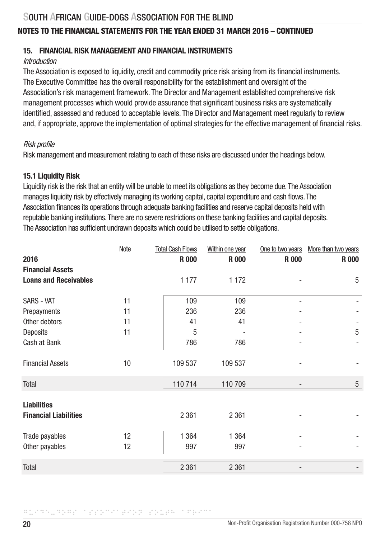#### NOTES TO THE FINANCIAL STATEMENTS FOR THE YEAR ENDED 31 MARCH 2016 – CONTINUED

#### 15. FINANCIAL RISK MANAGEMENT AND FINANCIAL INSTRUMENTS

#### Introduction

The Association is exposed to liquidity, credit and commodity price risk arising from its financial instruments. The Executive Committee has the overall responsibility for the establishment and oversight of the Association's risk management framework. The Director and Management established comprehensive risk management processes which would provide assurance that significant business risks are systematically identified, assessed and reduced to acceptable levels. The Director and Management meet regularly to review and, if appropriate, approve the implementation of optimal strategies for the effective management of financial risks.

#### Risk profile

Risk management and measurement relating to each of these risks are discussed under the headings below.

#### 15.1 Liquidity Risk

Liquidity risk is the risk that an entity will be unable to meet its obligations as they become due. The Association manages liquidity risk by effectively managing its working capital, capital expenditure and cash flows. The Association finances its operations through adequate banking facilities and reserve capital deposits held with reputable banking institutions. There are no severe restrictions on these banking facilities and capital deposits. The Association has sufficient undrawn deposits which could be utilised to settle obligations.

|                                                    | Note              | <b>Total Cash Flows</b> | Within one year | One to two years         | More than two years |
|----------------------------------------------------|-------------------|-------------------------|-----------------|--------------------------|---------------------|
| 2016                                               |                   | <b>R000</b>             | <b>R000</b>     | <b>R000</b>              | <b>R000</b>         |
| <b>Financial Assets</b>                            |                   |                         |                 |                          |                     |
| <b>Loans and Receivables</b>                       |                   | 1 1 7 7                 | 1 1 7 2         |                          | 5                   |
| <b>SARS - VAT</b>                                  | 11                | 109                     | 109             | -                        |                     |
| Prepayments                                        | 11                | 236                     | 236             |                          |                     |
| Other debtors                                      | 11                | 41                      | 41              |                          |                     |
| Deposits                                           | 11                | 5                       |                 |                          | 5                   |
| Cash at Bank                                       |                   | 786                     | 786             |                          |                     |
| <b>Financial Assets</b>                            | 10                | 109 537                 | 109 537         |                          |                     |
| Total                                              |                   | 110714                  | 110 709         |                          | 5                   |
| <b>Liabilities</b><br><b>Financial Liabilities</b> |                   | 2 3 6 1                 | 2 3 6 1         |                          |                     |
| Trade payables                                     | $12 \overline{ }$ | 1 3 6 4                 | 1 3 6 4         | $\overline{\phantom{0}}$ |                     |
| Other payables                                     | 12                | 997                     | 997             |                          |                     |
| Total                                              |                   | 2 3 6 1                 | 2 3 6 1         |                          |                     |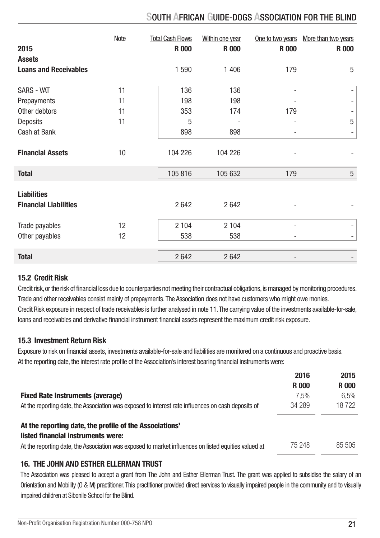|                              | Note              | <b>Total Cash Flows</b> | Within one year | One to two years             | More than two years |
|------------------------------|-------------------|-------------------------|-----------------|------------------------------|---------------------|
| 2015                         |                   | <b>R000</b>             | <b>R000</b>     | <b>R000</b>                  | <b>R000</b>         |
| <b>Assets</b>                |                   |                         |                 |                              |                     |
| <b>Loans and Receivables</b> |                   | 1 590                   | 1 4 0 6         | 179                          | 5                   |
|                              |                   |                         |                 |                              |                     |
| <b>SARS - VAT</b>            | 11                | 136                     | 136             | $\qquad \qquad \blacksquare$ |                     |
| Prepayments                  | 11                | 198                     | 198             |                              |                     |
| Other debtors                | 11                | 353                     | 174             | 179                          |                     |
| Deposits                     | 11                | 5                       |                 |                              | 5                   |
| Cash at Bank                 |                   | 898                     | 898             |                              |                     |
|                              |                   |                         |                 |                              |                     |
| <b>Financial Assets</b>      | 10                | 104 226                 | 104 226         |                              |                     |
| <b>Total</b>                 |                   | 105816                  | 105 632         | 179                          | 5                   |
|                              |                   |                         |                 |                              |                     |
| <b>Liabilities</b>           |                   |                         |                 |                              |                     |
| <b>Financial Liabilities</b> |                   | 2642                    | 2642            |                              |                     |
| Trade payables               | 12                | 2 1 0 4                 | 2 1 0 4         |                              |                     |
| Other payables               | $12 \overline{ }$ | 538                     | 538             |                              |                     |
|                              |                   |                         |                 |                              |                     |
| <b>Total</b>                 |                   | 2642                    | 2642            |                              |                     |

#### 15.2 Credit Risk

Credit risk, or the risk of financial loss due to counterparties not meeting their contractual obligations, is managed by monitoring procedures. Trade and other receivables consist mainly of prepayments. The Association does not have customers who might owe monies. Credit Risk exposure in respect of trade receivables is further analysed in note 11. The carrying value of the investments available-for-sale, loans and receivables and derivative financial instrument financial assets represent the maximum credit risk exposure.

#### 15.3 Investment Return Risk

Exposure to risk on financial assets, investments available-for-sale and liabilities are monitored on a continuous and proactive basis. At the reporting date, the interest rate profile of the Association's interest bearing financial instruments were:

|                                                                                                      | 2016        | 2015        |
|------------------------------------------------------------------------------------------------------|-------------|-------------|
|                                                                                                      | <b>R000</b> | <b>R000</b> |
| <b>Fixed Rate Instruments (average)</b>                                                              | 7.5%        | 6.5%        |
| At the reporting date, the Association was exposed to interest rate influences on cash deposits of   | 34 289      | 18722       |
| At the reporting date, the profile of the Associations'                                              |             |             |
| listed financial instruments were:                                                                   |             |             |
| At the reporting date, the Association was exposed to market influences on listed equities valued at | 75 248      | 85 505      |

#### 16. THE JOHN AND ESTHER ELLERMAN TRUST

The Association was pleased to accept a grant from The John and Esther Ellerman Trust. The grant was applied to subsidise the salary of an Orientation and Mobility (O & M) practitioner. This practitioner provided direct services to visually impaired people in the community and to visually impaired children at Sibonile School for the Blind.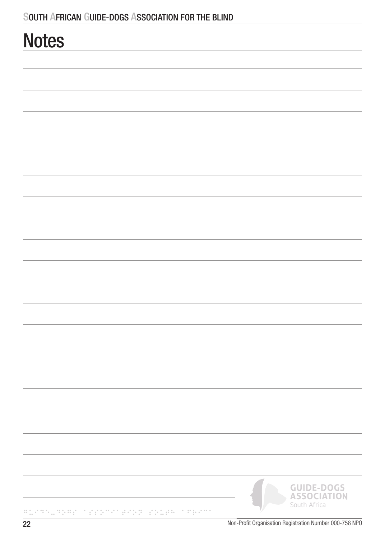| <b>Notes</b> |                                                         |
|--------------|---------------------------------------------------------|
|              |                                                         |
|              |                                                         |
|              |                                                         |
|              |                                                         |
|              |                                                         |
|              |                                                         |
|              |                                                         |
|              |                                                         |
|              |                                                         |
|              |                                                         |
|              |                                                         |
|              |                                                         |
|              |                                                         |
|              |                                                         |
|              |                                                         |
|              |                                                         |
|              |                                                         |
|              |                                                         |
|              |                                                         |
|              |                                                         |
|              |                                                         |
|              |                                                         |
|              |                                                         |
|              | <b>GUIDE-DOGS</b><br><b>ASSOCIATION</b><br>South Africa |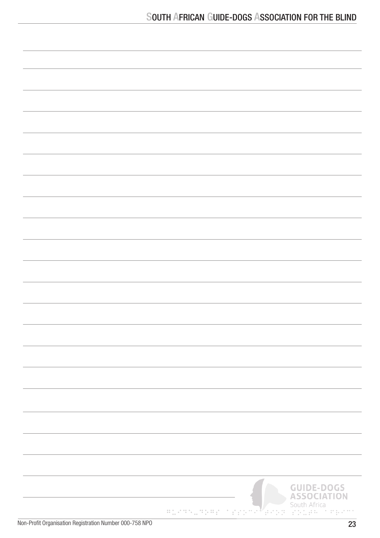| <b>GUIDE-DOGS</b>                                                                                                                                                                                                                                                                                                                                                                                                                                                                                     |
|-------------------------------------------------------------------------------------------------------------------------------------------------------------------------------------------------------------------------------------------------------------------------------------------------------------------------------------------------------------------------------------------------------------------------------------------------------------------------------------------------------|
| <b>ASSOCIATION</b><br>South Africa<br>Editor: Proposed:                                                                                                                                                                                                                                                                                                                                                                                                                                               |
| Gebor.<br>$\begin{array}{cccccccccc} \Omega_{\mathcal{A}} & \Omega_{\mathcal{A}} & \Omega_{\mathcal{A}} & \Omega_{\mathcal{A}} & \Omega_{\mathcal{A}} & \Omega_{\mathcal{A}} & \Omega_{\mathcal{A}} & \Omega_{\mathcal{A}} & \Omega_{\mathcal{A}} & \Omega_{\mathcal{A}} \\ \Omega_{\mathcal{A}} & \Omega_{\mathcal{A}} & \Omega_{\mathcal{A}} & \Omega_{\mathcal{A}} & \Omega_{\mathcal{A}} & \Omega_{\mathcal{A}} & \Omega_{\mathcal{A}} & \Omega_{\mathcal{A}} & \Omega_{\mathcal{A}} \end{array}$ |